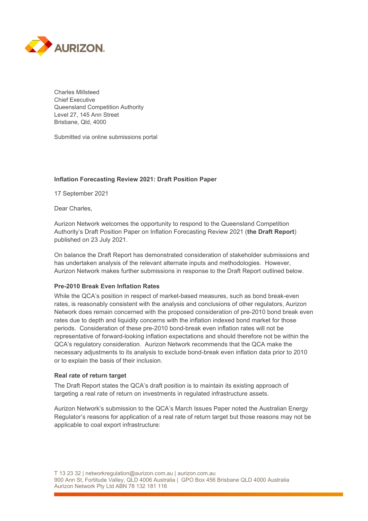

Charles Millsteed Chief Executive Queensland Competition Authority Level 27, 145 Ann Street Brisbane, Qld, 4000

Submitted via online submissions portal

## **Inflation Forecasting Review 2021: Draft Position Paper**

17 September 2021

Dear Charles,

Aurizon Network welcomes the opportunity to respond to the Queensland Competition Authority's Draft Position Paper on Inflation Forecasting Review 2021 (**the Draft Report**) published on 23 July 2021.

On balance the Draft Report has demonstrated consideration of stakeholder submissions and has undertaken analysis of the relevant alternate inputs and methodologies. However, Aurizon Network makes further submissions in response to the Draft Report outlined below.

#### **Pre-2010 Break Even Inflation Rates**

While the QCA's position in respect of market-based measures, such as bond break-even rates, is reasonably consistent with the analysis and conclusions of other regulators, Aurizon Network does remain concerned with the proposed consideration of pre-2010 bond break even rates due to depth and liquidity concerns with the inflation indexed bond market for those periods. Consideration of these pre-2010 bond-break even inflation rates will not be representative of forward-looking inflation expectations and should therefore not be within the QCA's regulatory consideration. Aurizon Network recommends that the QCA make the necessary adjustments to its analysis to exclude bond-break even inflation data prior to 2010 or to explain the basis of their inclusion.

#### **Real rate of return target**

The Draft Report states the QCA's draft position is to maintain its existing approach of targeting a real rate of return on investments in regulated infrastructure assets.

Aurizon Network's submission to the QCA's March Issues Paper noted the Australian Energy Regulator's reasons for application of a real rate of return target but those reasons may not be applicable to coal export infrastructure: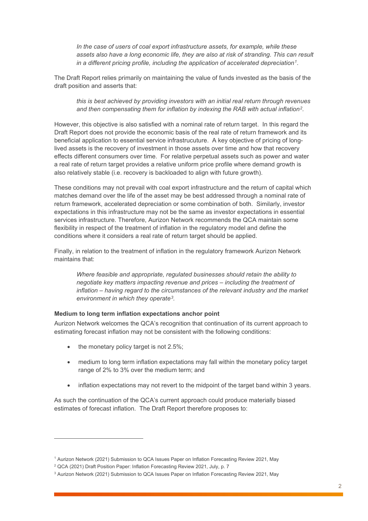*In the case of users of coal export infrastructure assets, for example, while these assets also have a long economic life, they are also at risk of stranding. This can result in a different pricing profile, including the application of accelerated depreciation1*.

The Draft Report relies primarily on maintaining the value of funds invested as the basis of the draft position and asserts that:

*this is best achieved by providing investors with an initial real return through revenues and then compensating them for inflation by indexing the RAB with actual inflation2.* 

However, this objective is also satisfied with a nominal rate of return target. In this regard the Draft Report does not provide the economic basis of the real rate of return framework and its beneficial application to essential service infrastrucuture. A key objective of pricing of longlived assets is the recovery of investment in those assets over time and how that recovery effects different consumers over time. For relative perpetual assets such as power and water a real rate of return target provides a relative uniform price profile where demand growth is also relatively stable (i.e. recovery is backloaded to align with future growth).

These conditions may not prevail with coal export infrastructure and the return of capital which matches demand over the life of the asset may be best addressed through a nominal rate of return framework, accelerated depreciation or some combination of both. Similarly, investor expectations in this infrastructure may not be the same as investor expectations in essential services infrastructure. Therefore, Aurizon Network recommends the QCA maintain some flexibility in respect of the treatment of inflation in the regulatory model and define the conditions where it considers a real rate of return target should be applied.

Finally, in relation to the treatment of inflation in the regulatory framework Aurizon Network maintains that:

*Where feasible and appropriate, regulated businesses should retain the ability to negotiate key matters impacting revenue and prices – including the treatment of inflation – having regard to the circumstances of the relevant industry and the market environment in which they operate3.* 

## **Medium to long term inflation expectations anchor point**

Aurizon Network welcomes the QCA's recognition that continuation of its current approach to estimating forecast inflation may not be consistent with the following conditions:

- the monetary policy target is not  $2.5\%$ ;
- medium to long term inflation expectations may fall within the monetary policy target range of 2% to 3% over the medium term; and
- inflation expectations may not revert to the midpoint of the target band within 3 years.

As such the continuation of the QCA's current approach could produce materially biased estimates of forecast inflation. The Draft Report therefore proposes to:

<sup>1</sup> Aurizon Network (2021) Submission to QCA Issues Paper on Inflation Forecasting Review 2021, May

<sup>&</sup>lt;sup>2</sup> QCA (2021) Draft Position Paper: Inflation Forecasting Review 2021, July, p. 7

<sup>3</sup> Aurizon Network (2021) Submission to QCA Issues Paper on Inflation Forecasting Review 2021, May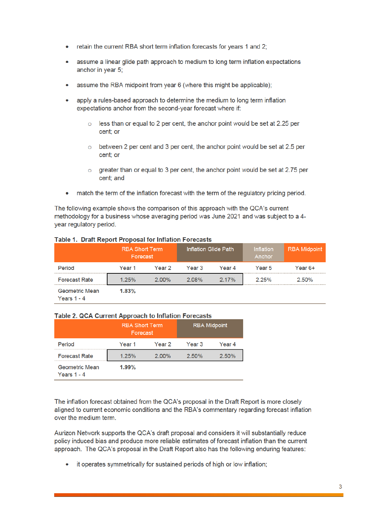- •retain the current RBA short term inflation forecasts for years 1 and 2;
- • assume <sup>a</sup> linear glide path approach to medium to long term inflation expectations anchor in year 5;
- •assume the RBA midpoint from year 6 (where this might be applicable);
- • apply <sup>a</sup> rules-based approach to determine the medium to long term inflation expectations anchor from the second-year forecast where if:
	- less than or equal to 2 per cent, the anchor point would be set at 2.25 per cent; or
	- $\circ$  between 2 per cent and 3 per cent, the anchor point would be set at 2.5 per cent; or
	- <sup>o</sup> greater than or equal to 3 per cent, the anchor point would be set at 2.75 per cent; and
- match the term of the inflation forecast with the term of the regulatory pricing period.

The following example shows the comparison of this approach with the QCA'<sup>s</sup> current methodology for <sup>a</sup> business whose averaging period was June 2021 and was subject to <sup>a</sup> 4 year regulatory period.

|                                      | <b>RBA Short Term</b><br>Forecast |          | Inflation Glide Path |        | <b>Inflation</b><br>Anchor | <b>RBA Midpoint</b> |
|--------------------------------------|-----------------------------------|----------|----------------------|--------|----------------------------|---------------------|
| Period                               | Year 1                            | Year 2   | Year 3               | Year 4 | Year 5                     | Year 6+             |
| <b>Forecast Rate</b>                 | 1.25%                             | $2.00\%$ | 2.08%                | 2.17%  | 2.25%                      | 2.50%               |
| <b>Geometric Mean</b><br>Years 1 - 4 | 1.83%                             |          |                      |        |                            |                     |

# **Table 1. Draft Report Proposal for Inflation Forecasts**

## **Table 2. QCA Current Approach to Inflation Forecasts**

|                                        | <b>RBA Short Term</b><br>Forecast |          | <b>RBA Midpoint</b> |          |  |
|----------------------------------------|-----------------------------------|----------|---------------------|----------|--|
| Period                                 | Year 1                            | Year 2   | Year <sub>3</sub>   | Year 4   |  |
| <b>Forecast Rate</b>                   | 1.25%                             | $2.00\%$ | 2.50%               | $2.50\%$ |  |
| <b>Geometric Mean</b><br>Years $1 - 4$ | 1.99%                             |          |                     |          |  |

The inflation forecast obtained from the QCA'<sup>s</sup> proposal in the Draft Report is more closely aligned to current economic conditions and the RBA'<sup>s</sup> commentary regarding forecast inflation over the medium term.

Aurizon Network supports the QCA'<sup>s</sup> draft proposal and considers it will substantially reduce policy induced bias and produce more reliable estimates of forecast inflation than the current approach. The QCA'<sup>s</sup> proposal in the Draft Report also has the following enduring features:

• it operates symmetrically for sustained periods of high or low inflation;